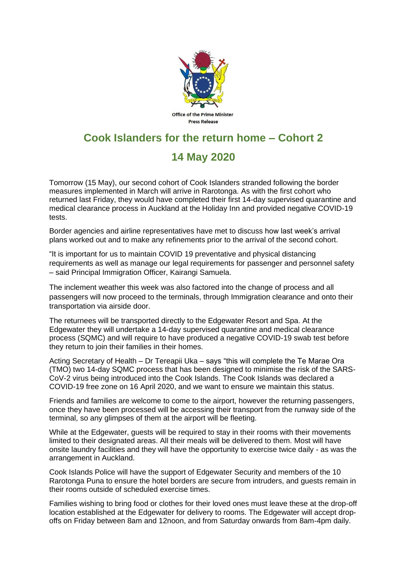

## **Cook Islanders for the return home – Cohort 2**

## **14 May 2020**

Tomorrow (15 May), our second cohort of Cook Islanders stranded following the border measures implemented in March will arrive in Rarotonga. As with the first cohort who returned last Friday, they would have completed their first 14-day supervised quarantine and medical clearance process in Auckland at the Holiday Inn and provided negative COVID-19 tests.

Border agencies and airline representatives have met to discuss how last week's arrival plans worked out and to make any refinements prior to the arrival of the second cohort.

"It is important for us to maintain COVID 19 preventative and physical distancing requirements as well as manage our legal requirements for passenger and personnel safety – said Principal Immigration Officer, Kairangi Samuela.

The inclement weather this week was also factored into the change of process and all passengers will now proceed to the terminals, through Immigration clearance and onto their transportation via airside door.

The returnees will be transported directly to the Edgewater Resort and Spa. At the Edgewater they will undertake a 14-day supervised quarantine and medical clearance process (SQMC) and will require to have produced a negative COVID-19 swab test before they return to join their families in their homes.

Acting Secretary of Health – Dr Tereapii Uka – says "this will complete the Te Marae Ora (TMO) two 14-day SQMC process that has been designed to minimise the risk of the SARS-CoV-2 virus being introduced into the Cook Islands. The Cook Islands was declared a COVID-19 free zone on 16 April 2020, and we want to ensure we maintain this status.

Friends and families are welcome to come to the airport, however the returning passengers, once they have been processed will be accessing their transport from the runway side of the terminal, so any glimpses of them at the airport will be fleeting.

While at the Edgewater, guests will be required to stay in their rooms with their movements limited to their designated areas. All their meals will be delivered to them. Most will have onsite laundry facilities and they will have the opportunity to exercise twice daily - as was the arrangement in Auckland.

Cook Islands Police will have the support of Edgewater Security and members of the 10 Rarotonga Puna to ensure the hotel borders are secure from intruders, and guests remain in their rooms outside of scheduled exercise times.

Families wishing to bring food or clothes for their loved ones must leave these at the drop-off location established at the Edgewater for delivery to rooms. The Edgewater will accept dropoffs on Friday between 8am and 12noon, and from Saturday onwards from 8am-4pm daily.